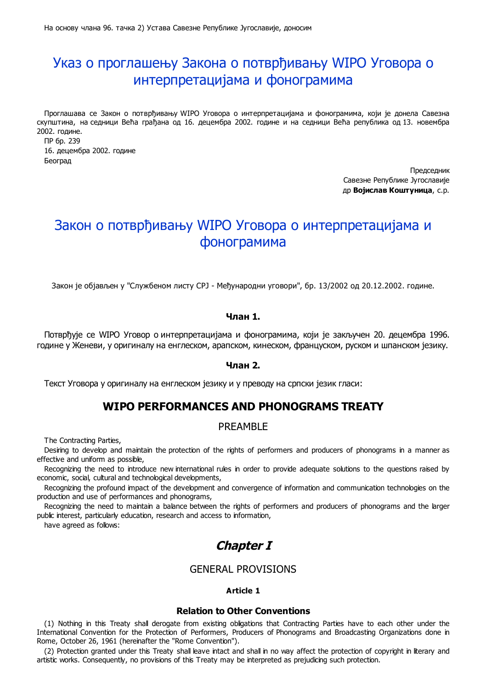# Указ о проглашењу Закона о потврђивању WIPO Уговора о интерпретацијама и фонограмима

Проглашава се Закон о потврђивању WIPO Уговора о интерпретацијама и фонограмима, који је донела Савезна скупштина, на седници Већа грађана од 16. децембра 2002. године и на седници Већа република од 13. новембра 2002. године.

ПР бр. 239 16. децембра 2002. године Београд

> Председник Савезне Републике Југославије др **Војислав Коштуница**, с.р.

# Закон о потврђивању WIPO Уговора о интерпретацијама и фонограмима

Закон је објављен у "Службеном листу СРЈ - Међународни уговори", бр. 13/2002 од 20.12.2002. године.

# **Члан 1.**

Потврђује се WIPO Уговор о интерпретацијама и фонограмима, који је закључен 20. децембра 1996. године у Женеви, у оригиналу на енглеском, арапском, кинеском, француском, руском и шпанском језику.

## **Члан 2.**

Текст Уговора у оригиналу на енглеском језику и у преводу на српски језик гласи:

# **WIPO PERFORMANCES AND PHONOGRAMS TREATY**

# PREAMBLE

The Contracting Parties,

Desiring to develop and maintain the protection of the rights of performers and producers of phonograms in a manner as effective and uniform as possible,

Recognizing the need to introduce new international rules in order to provide adequate solutions to the questions raised by economic, social, cultural and technological developments,

Recognizing the profound impact of the development and convergence of information and communication technologies on the production and use of performances and phonograms,

Recognizing the need to maintain a balance between the rights of performers and producers of phonograms and the larger public interest, particularly education, research and access to information,

have agreed as follows:

# **Chapter I**

# GENERAL PROVISIONS

# **Article 1**

### **Relation to Other Conventions**

(1) Nothing in this Treaty shall derogate from existing obligations that Contracting Parties have to each other under the International Convention for the Protection of Performers, Producers of Phonograms and Broadcasting Organizations done in Rome, October 26, 1961 (hereinafter the "Rome Convention").

(2) Protection granted under this Treaty shall leave intact and shall in no way affect the protection of copyright in literary and artistic works. Consequently, no provisions of this Treaty may be interpreted as prejudicing such protection.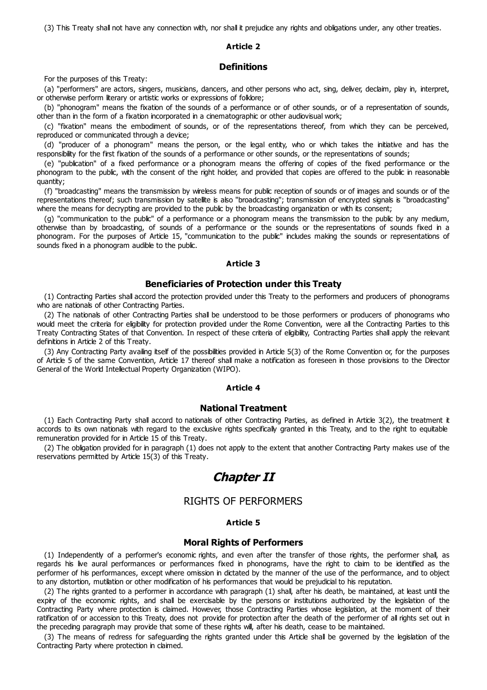(3) This Treaty shall not have any connection with, nor shall it prejudice any rights and obligations under, any other treaties.

### **Article 2**

### **Definitions**

For the purposes of this Treaty:

(a) "performers" are actors, singers, musicians, dancers, and other persons who act, sing, deliver, declaim, play in, interpret, or otherwise perform literary or artistic works or expressions of folklore;

(b) "phonogram" means the fixation of the sounds of a performance or of other sounds, or of a representation of sounds, other than in the form of a fixation incorporated in a cinematographic or other audiovisual work;

(c) "fixation" means the embodiment of sounds, or of the representations thereof, from which they can be perceived, reproduced or communicated through a device;

(d) "producer of a phonogram" means the person, or the legal entity, who or which takes the initiative and has the responsibility for the first fixation of the sounds of a performance or other sounds, or the representations of sounds;

(e) "publication" of a fixed performance or a phonogram means the offering of copies of the fixed performance or the phonogram to the public, with the consent of the right holder, and provided that copies are offered to the public in reasonable quantity;

(f) "broadcasting" means the transmission by wireless means for public reception of sounds or of images and sounds or of the representations thereof; such transmission by satellite is also "broadcasting"; transmission of encrypted signals is "broadcasting" where the means for decrypting are provided to the public by the broadcasting organization or with its consent;

(g) "communication to the public" of a performance or a phonogram means the transmission to the public by any medium, otherwise than by broadcasting, of sounds of a performance or the sounds or the representations of sounds fixed in a phonogram. For the purposes of Article 15, "communication to the public" includes making the sounds or representations of sounds fixed in a phonogram audible to the public.

# **Article 3**

# **Beneficiaries of Protection under this Treaty**

(1) Contracting Parties shall accord the protection provided under this Treaty to the performers and producers of phonograms who are nationals of other Contracting Parties.

(2) The nationals of other Contracting Parties shall be understood to be those performers or producers of phonograms who would meet the criteria for eligibility for protection provided under the Rome Convention, were all the Contracting Parties to this Treaty Contracting States of that Convention. In respect of these criteria of eligibility, Contracting Parties shall apply the relevant definitions in Article 2 of this Treaty.

(3) Any Contracting Party availing itself of the possibilities provided in Article 5(3) of the Rome Convention or, for the purposes of Article 5 of the same Convention, Article 17 thereof shall make a notification as foreseen in those provisions to the Director General of the World Intellectual Property Organization (WIPO).

#### **Article 4**

## **National Treatment**

(1) Each Contracting Party shall accord to nationals of other Contracting Parties, as defined in Article 3(2), the treatment it accords to its own nationals with regard to the exclusive rights specifically granted in this Treaty, and to the right to equitable remuneration provided for in Article 15 of this Treaty.

(2) The obligation provided for in paragraph (1) does not apply to the extent that another Contracting Party makes use of the reservations permitted by Article 15(3) of this Treaty.

# **Chapter II**

# RIGHTS OF PERFORMERS

#### **Article 5**

#### **Moral Rights of Performers**

(1) Independently of a performer's economic rights, and even after the transfer of those rights, the performer shall, as regards his live aural performances or performances fixed in phonograms, have the right to claim to be identified as the performer of his performances, except where omission in dictated by the manner of the use of the performance, and to object to any distortion, mutilation or other modification of his performances that would be prejudicial to his reputation.

(2) The rights granted to a performer in accordance with paragraph (1) shall, after his death, be maintained, at least until the expiry of the economic rights, and shall be exercisable by the persons or institutions authorized by the legislation of the Contracting Party where protection is claimed. However, those Contracting Parties whose legislation, at the moment of their ratification of or accession to this Treaty, does not provide for protection after the death of the performer of all rights set out in the preceding paragraph may provide that some of these rights will, after his death, cease to be maintained.

(3) The means of redress for safeguarding the rights granted under this Article shall be governed by the legislation of the Contracting Party where protection in claimed.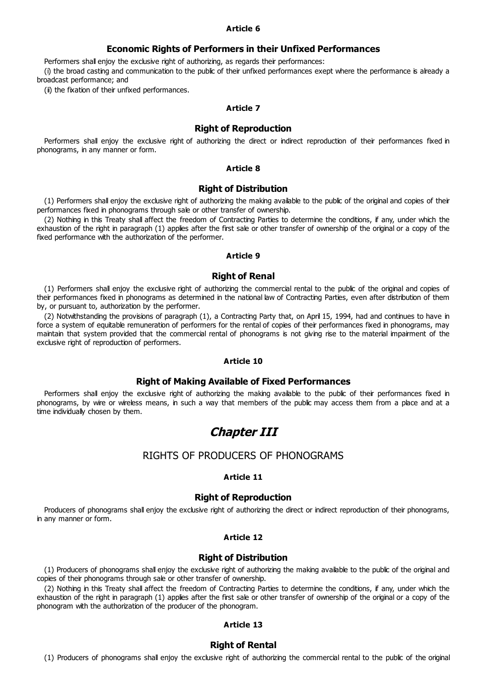## **Article 6**

## **Economic Rights of Performers in their Unfixed Performances**

Performers shall enjoy the exclusive right of authorizing, as regards their performances:

(i) the broad casting and communication to the public of their unfixed performances exept where the performance is already a broadcast performance; and

(ii) the fixation of their unfixed performances.

## **Article 7**

### **Right of Reproduction**

Performers shall enjoy the exclusive right of authorizing the direct or indirect reproduction of their performances fixed in phonograms, in any manner or form.

#### **Article 8**

#### **Right of Distribution**

(1) Performers shall enjoy the exclusive right of authorizing the making available to the public of the original and copies of their performances fixed in phonograms through sale or other transfer of ownership.

(2) Nothing in this Treaty shall affect the freedom of Contracting Parties to determine the conditions, if any, under which the exhaustion of the right in paragraph (1) applies after the first sale or other transfer of ownership of the original or a copy of the fixed performance with the authorization of the performer.

## **Article 9**

## **Right of Renal**

(1) Performers shall enjoy the exclusive right of authorizing the commercial rental to the public of the original and copies of their performances fixed in phonograms as determined in the national law of Contracting Parties, even after distribution of them by, or pursuant to, authorization by the performer.

(2) Notwithstanding the provisions of paragraph (1), a Contracting Party that, on April 15, 1994, had and continues to have in force a system of equitable remuneration of performers for the rental of copies of their performances fixed in phonograms, may maintain that system provided that the commercial rental of phonograms is not giving rise to the material impairment of the exclusive right of reproduction of performers.

#### **Article 10**

#### **Right of Making Available of Fixed Performances**

Performers shall enjoy the exclusive right of authorizing the making available to the public of their performances fixed in phonograms, by wire or wireless means, in such a way that members of the public may access them from a place and at a time individually chosen by them.

# **Chapter III**

## RIGHTS OF PRODUCERS OF PHONOGRAMS

#### **Article 11**

## **Right of Reproduction**

Producers of phonograms shall enjoy the exclusive right of authorizing the direct or indirect reproduction of their phonograms, in any manner or form.

### **Article 12**

#### **Right of Distribution**

(1) Producers of phonograms shall enjoy the exclusive right of authorizing the making available to the public of the original and copies of their phonograms through sale or other transfer of ownership.

(2) Nothing in this Treaty shall affect the freedom of Contracting Parties to determine the conditions, if any, under which the exhaustion of the right in paragraph (1) applies after the first sale or other transfer of ownership of the original or a copy of the phonogram with the authorization of the producer of the phonogram.

## **Article 13**

### **Right of Rental**

(1) Producers of phonograms shall enjoy the exclusive right of authorizing the commercial rental to the public of the original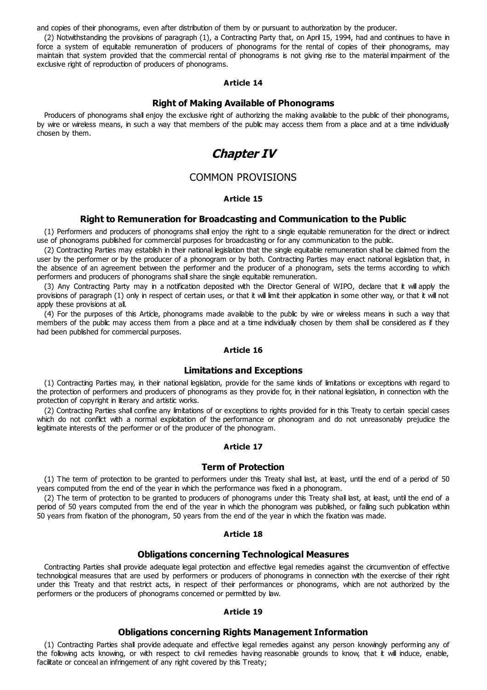and copies of their phonograms, even after distribution of them by or pursuant to authorization by the producer.

(2) Notwithstanding the provisions of paragraph (1), a Contracting Party that, on April 15, 1994, had and continues to have in force a system of equitable remuneration of producers of phonograms for the rental of copies of their phonograms, may maintain that system provided that the commercial rental of phonograms is not giving rise to the material impairment of the exclusive right of reproduction of producers of phonograms.

#### **Article 14**

# **Right of Making Available of Phonograms**

Producers of phonograms shall enjoy the exclusive right of authorizing the making available to the public of their phonograms, by wire or wireless means, in such a way that members of the public may access them from a place and at a time individually chosen by them.

# **Chapter IV**

# COMMON PROVISIONS

### **Article 15**

## **Right to Remuneration for Broadcasting and Communication to the Public**

(1) Performers and producers of phonograms shall enjoy the right to a single equitable remuneration for the direct or indirect use of phonograms published for commercial purposes for broadcasting or for any communication to the public.

(2) Contracting Parties may establish in their national legislation that the single equitable remuneration shall be claimed from the user by the performer or by the producer of a phonogram or by both. Contracting Parties may enact national legislation that, in the absence of an agreement between the performer and the producer of a phonogram, sets the terms according to which performers and producers of phonograms shall share the single equitable remuneration.

(3) Any Contracting Party may in a notification deposited with the Director General of WIPO, declare that it will apply the provisions of paragraph (1) only in respect of certain uses, or that it will limit their application in some other way, or that it will not apply these provisions at all.

(4) For the purposes of this Article, phonograms made available to the public by wire or wireless means in such a way that members of the public may access them from a place and at a time individually chosen by them shall be considered as if they had been published for commercial purposes.

#### **Article 16**

#### **Limitations and Exceptions**

(1) Contracting Parties may, in their national legislation, provide for the same kinds of limitations or exceptions with regard to the protection of performers and producers of phonograms as they provide for, in their national legislation, in connection with the protection of copyright in literary and artistic works.

(2) Contracting Parties shall confine any limitations of or exceptions to rights provided for in this Treaty to certain special cases which do not conflict with a normal exploitation of the performance or phonogram and do not unreasonably prejudice the legitimate interests of the performer or of the producer of the phonogram.

# **Article 17**

#### **Term of Protection**

(1) The term of protection to be granted to performers under this Treaty shall last, at least, until the end of a period of 50 years computed from the end of the year in which the performance was fixed in a phonogram.

(2) The term of protection to be granted to producers of phonograms under this Treaty shall last, at least, until the end of a period of 50 years computed from the end of the year in which the phonogram was published, or failing such publication within 50 years from fixation of the phonogram, 50 years from the end of the year in which the fixation was made.

## **Article 18**

### **Obligations concerning Technological Measures**

Contracting Parties shall provide adequate legal protection and effective legal remedies against the circumvention of effective technological measures that are used by performers or producers of phonograms in connection with the exercise of their right under this Treaty and that restrict acts, in respect of their performances or phonograms, which are not authorized by the performers or the producers of phonograms concerned or permitted by law.

## **Article 19**

### **Obligations concerning Rights Management Information**

(1) Contracting Parties shall provide adequate and effective legal remedies against any person knowingly performing any of the following acts knowing, or with respect to civil remedies having reasonable grounds to know, that it will induce, enable, facilitate or conceal an infringement of any right covered by this Treaty;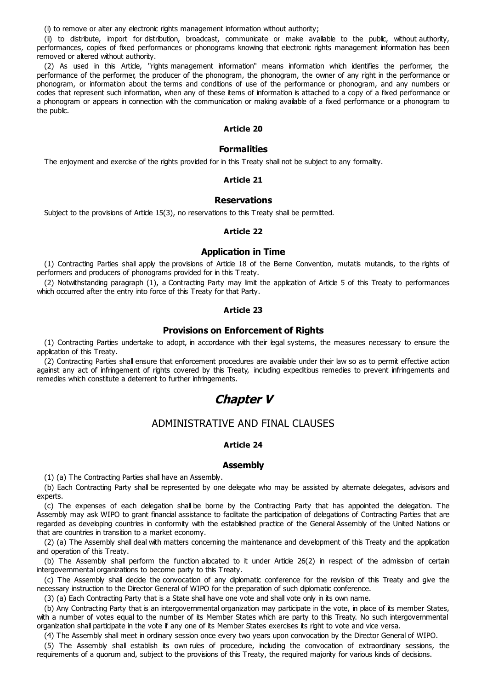(i) to remove or alter any electronic rights management information without authority;

(ii) to distribute, import for distribution, broadcast, communicate or make available to the public, without authority, performances, copies of fixed performances or phonograms knowing that electronic rights management information has been removed or altered without authority.

(2) As used in this Article, "rights management information" means information which identifies the performer, the performance of the performer, the producer of the phonogram, the phonogram, the owner of any right in the performance or phonogram, or information about the terms and conditions of use of the performance or phonogram, and any numbers or codes that represent such information, when any of these items of information is attached to a copy of a fixed performance or a phonogram or appears in connection with the communication or making available of a fixed performance or a phonogram to the public.

## **Article 20**

### **Formalities**

The enjoyment and exercise of the rights provided for in this Treaty shall not be subject to any formality.

### **Article 21**

## **Reservations**

Subject to the provisions of Article 15(3), no reservations to this Treaty shall be permitted.

## **Article 22**

## **Application in Time**

(1) Contracting Parties shall apply the provisions of Article 18 of the Berne Convention, mutatis mutandis, to the rights of performers and producers of phonograms provided for in this Treaty.

(2) Notwithstanding paragraph (1), a Contracting Party may limit the application of Article 5 of this Treaty to performances which occurred after the entry into force of this Treaty for that Party.

## **Article 23**

## **Provisions on Enforcement of Rights**

(1) Contracting Parties undertake to adopt, in accordance with their legal systems, the measures necessary to ensure the application of this Treaty.

(2) Contracting Parties shall ensure that enforcement procedures are available under their law so as to permit effective action against any act of infringement of rights covered by this Treaty, including expeditious remedies to prevent infringements and remedies which constitute a deterrent to further infringements.

# **Chapter V**

# ADMINISTRATIVE AND FINAL CLAUSES

#### **Article 24**

#### **Assembly**

(1) (a) The Contracting Parties shall have an Assembly.

(b) Each Contracting Party shall be represented by one delegate who may be assisted by alternate delegates, advisors and experts.

(c) The expenses of each delegation shall be borne by the Contracting Party that has appointed the delegation. The Assembly may ask WIPO to grant financial assistance to facilitate the participation of delegations of Contracting Parties that are regarded as developing countries in conformity with the established practice of the General Assembly of the United Nations or that are countries in transition to a market economy.

(2) (a) The Assembly shall deal with matters concerning the maintenance and development of this Treaty and the application and operation of this Treaty.

(b) The Assembly shall perform the function allocated to it under Article 26(2) in respect of the admission of certain intergovernmental organizations to become party to this Treaty.

(c) The Assembly shall decide the convocation of any diplomatic conference for the revision of this Treaty and give the necessary instruction to the Director General of WIPO for the preparation of such diplomatic conference.

(3) (a) Each Contracting Party that is a State shall have one vote and shall vote only in its own name.

(b) Any Contracting Party that is an intergovernmental organization may participate in the vote, in place of its member States, with a number of votes equal to the number of its Member States which are party to this Treaty. No such intergovernmental organization shall participate in the vote if any one of its Member States exercises its right to vote and vice versa.

(4) The Assembly shall meet in ordinary session once every two years upon convocation by the Director General of WIPO.

(5) The Assembly shall establish its own rules of procedure, including the convocation of extraordinary sessions, the requirements of a quorum and, subject to the provisions of this Treaty, the required majority for various kinds of decisions.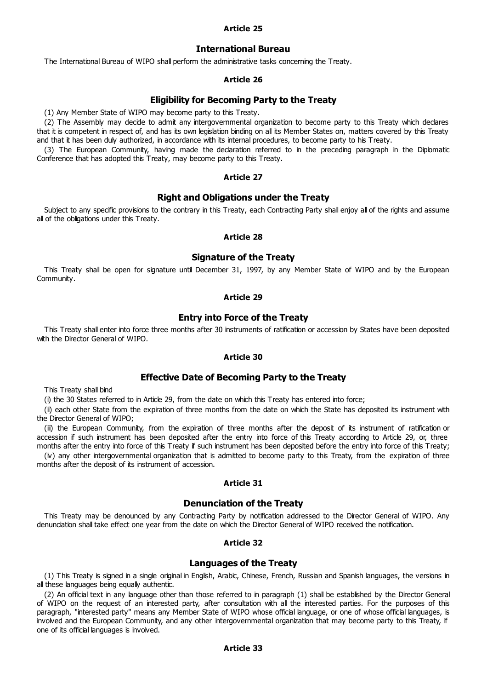## **Article 25**

## **International Bureau**

The International Bureau of WIPO shall perform the administrative tasks concerning the Treaty.

## **Article 26**

## **Eligibility for Becoming Party to the Treaty**

(1) Any Member State of WIPO may become party to this Treaty.

(2) The Assembly may decide to admit any intergovernmental organization to become party to this Treaty which declares that it is competent in respect of, and has its own legislation binding on all its Member States on, matters covered by this Treaty and that it has been duly authorized, in accordance with its internal procedures, to become party to his Treaty.

(3) The European Community, having made the declaration referred to in the preceding paragraph in the Diplomatic Conference that has adopted this Treaty, may become party to this Treaty.

#### **Article 27**

## **Right and Obligations under the Treaty**

Subject to any specific provisions to the contrary in this Treaty, each Contracting Party shall enjoy all of the rights and assume all of the obligations under this Treaty.

## **Article 28**

## **Signature of the Treaty**

This Treaty shall be open for signature until December 31, 1997, by any Member State of WIPO and by the European Community.

#### **Article 29**

# **Entry into Force of the Treaty**

This Treaty shall enter into force three months after 30 instruments of ratification or accession by States have been deposited with the Director General of WIPO.

#### **Article 30**

# **Effective Date of Becoming Party to the Treaty**

This Treaty shall bind

(i) the 30 States referred to in Article 29, from the date on which this Treaty has entered into force;

(ii) each other State from the expiration of three months from the date on which the State has deposited its instrument with the Director General of WIPO;

(iii) the European Community, from the expiration of three months after the deposit of its instrument of ratification or accession if such instrument has been deposited after the entry into force of this Treaty according to Article 29, or, three months after the entry into force of this Treaty if such instrument has been deposited before the entry into force of this Treaty;

(iv) any other intergovernmental organization that is admitted to become party to this Treaty, from the expiration of three months after the deposit of its instrument of accession.

## **Article 31**

#### **Denunciation of the Treaty**

This Treaty may be denounced by any Contracting Party by notification addressed to the Director General of WIPO. Any denunciation shall take effect one year from the date on which the Director General of WIPO received the notification.

## **Article 32**

# **Languages of the Treaty**

(1) This Treaty is signed in a single original in English, Arabic, Chinese, French, Russian and Spanish languages, the versions in all these languages being equally authentic.

(2) An official text in any language other than those referred to in paragraph (1) shall be established by the Director General of WIPO on the request of an interested party, after consultation with all the interested parties. For the purposes of this paragraph, "interested party" means any Member State of WIPO whose official language, or one of whose official languages, is involved and the European Community, and any other intergovernmental organization that may become party to this Treaty, if one of its official languages is involved.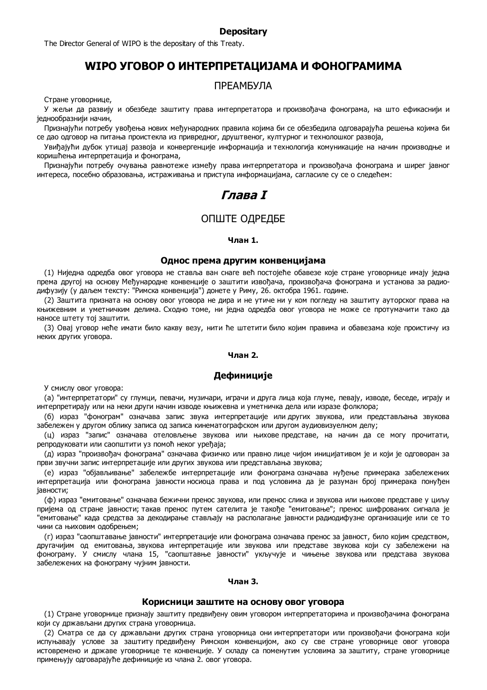#### **Depositary**

The Director General of WIPO is the depositary of this Treaty.

# **WIPO УГОВОР О ИНТЕРПРЕТАЦИЈАМА И ФОНОГРАМИМА**

# ПРЕАМБУЛА

Стране уговорнице,

У жељи да развију и обезбеде заштиту права интерпретатора и произвођача фонограма, на што ефикаснији и једнообразнији начин,

Признајући потребу увођења нових међународних правила којима би се обезбедила одговарајућа решења којима би се дао одговор на питања проистекла из привредног, друштвеног, културног и технолошког развоја,

Увиђајући дубок утицај развоја и конвергенције информација и технологија комуникације на начин производње и коришћења интерпретација и фонограма,

Признајући потребу очувања равнотеже између права интерпретатора и произвођача фонограма и ширег јавног интереса, посебно образовања, истраживања и приступа информацијама, сагласиле су се о следећем:

# **Глава I**

# ОПШТЕ ОДРЕДБЕ

## **Члан 1.**

#### **Однос према другим конвенцијама**

(1) Ниједна одредба овог уговора не ставља ван снаге већ постојеће обавезе које стране уговорнице имају једна према другој на основу Међународне конвенције о заштити извођача, произвођача фонограма и установа за радиодифузију (у даљем тексту: "Римска конвенција") донете у Риму, 26. октобра 1961. године.

(2) Заштита призната на основу овог уговора не дира и не утиче ни у ком погледу на заштиту ауторског права на књижевним и уметничким делима. Сходно томе, ни једна одредба овог уговора не може се протумачити тако да наносе штету тој заштити.

(3) Овај уговор неће имати било какву везу, нити ће штетити било којим правима и обавезама које проистичу из неких других уговора.

### **Члан 2.**

## **Дефиниције**

У смислу овог уговора:

(а) "интерпретатори" су глумци, певачи, музичари, играчи и друга лица која глуме, певају, изводе, беседе, играју и интерпретирају или на неки други начин изводе књижевна и уметничка дела или изразе фолклора;

(б) израз "фонограм" означава запис звука интерпретације или других звукова, или представљања звукова забележен у другом облику записа од записа кинематографском или другом аудиовизуелном делу;

(ц) израз "запис" означава отеловљење звукова или њихове представе, на начин да се могу прочитати, репродуковати или саопштити уз помоћ неког уређаја;

(д) израз "произвођач фонограма" означава физичко или правно лице чијом иницијативом је и који је одговоран за први звучни запис интерпретације или других звукова или представљања звукова;

(е) израз "објављивање" забележбе интерпретације или фонограма означава нуђење примерака забележених интерпретација или фонограма јавности носиоца права и под условима да је разуман број примерака понуђен јавности;

(ф) израз "емитовање" означава бежични пренос звукова, или пренос слика и звукова или њихове представе у циљу пријема од стране јавности; такав пренос путем сателита је такође "емитовање"; пренос шифрованих сигнала је "емитовање" када средства за декодирање стављају на располагање јавности радиодифузне организације или се то чини са њиховим одобрењем;

(г) израз "саопштавање јавности" интерпретације или фонограма означава пренос за јавност, било којим средством, другачијим од емитовања, звукова интерпретације или звукова или представе звукова који су забележени на фонограму. У смислу члана 15, "саопштавње јавности" укључује и чињење звукова или представа звукова забележених на фонограму чујним јавности.

#### **Члан 3.**

#### **Корисници заштите на основу овог уговора**

(1) Стране уговорнице признају заштиту предвиђену овим уговором интерпретаторима и произвођачима фонограма који су држављани других страна уговорница.

(2) Сматра се да су држављани других страна уговорница они интерпретатори или произвођачи фонограма који испуњавају услове за заштиту предвиђену Римском конвенцијом, ако су све стране уговорнице овог уговора истовремено и државе уговорнице те конвенције. У складу са поменутим условима за заштиту, стране уговорнице примењују одговарајуће дефиниције из члана 2. овог уговора.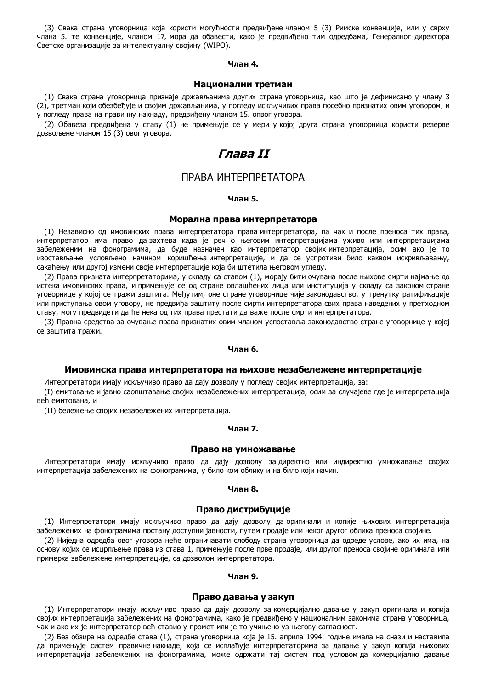(3) Свака страна уговорница која користи могућности предвиђене чланом 5 (3) Римске конвенције, или у сврху члана 5. те конвенције, чланом 17, мора да обавести, како је предвиђено тим одредбама, Генералног директора Светске организације за интелектуалну својину (WIPO).

#### **Члан 4.**

#### **Национални третман**

(1) Свака страна уговорница признаје држављанима других страна уговорница, као што је дефинисано у члану 3 (2), третман који обезбеђује и својим држављанима, у погледу искључивих права посебно признатих овим уговором, и у погледу права на правичну накнаду, предвиђену чланом 15. опвог уговора.

(2) Обавеза предвиђена у ставу (1) не примењује се у мери у којој друга страна уговорница користи резерве дозвољене чланом 15 (3) овог уговора.

# **Глава II**

# ПРАВА ИНТЕРПРЕТАТОРА

### **Члан 5.**

#### **Морална права интерпретатора**

(1) Независно од имовинских права интерпретатора права интерпретатора, па чак и после преноса тих права, интерпретатор има право да захтева када је реч о његовим интерпретацијама уживо или интерпретацијама забележеним на фонограмима, да буде назначен као интерпретатор својих интерпретација, осим ако је то изостављање условљено начином коришћења интерпретације, и да се успротиви било каквом искривљавању, сакаћењу или другој измени своје интерпретације која би штетила његовом угледу.

(2) Права призната интерпретаторима, у складу са ставом (1), морају бити очувана после њихове смрти најмање до истека имовинских права, и примењује се од стране овлашћених лица или институција у складу са законом стране уговорнице у којој се тражи заштита. Међутим, оне стране уговорнице чије законодавство, у тренутку ратификације или приступања овом уговору, не предвиђа заштиту после смрти интерпретатора свих права наведених у претходном ставу, могу предвидети да ће нека од тих права престати да важе после смрти интерпретатора.

(3) Правна средства за очување права признатих овим чланом успоставља законодавство стране уговорнице у којој се заштита тражи.

#### **Члан 6.**

#### **Имовинска права интерпретатора на њихове незабележене интерпретације**

Интерпретатори имају искључиво право да дају дозволу у погледу својих интерпретација, за:

(I) емитовање и јавно саопштавање својих незабележених интерпретација, осим за случајеве где је интерпретација већ емитована, и

(II) бележење својих незабележених интерпретација.

### **Члан 7.**

#### **Право на умножавање**

Интерпретатори имају искључиво право да дају дозволу за директно или индиректно умножавање својих интерпретација забележених на фонограмима, у било ком облику и на било који начин.

## **Члан 8.**

#### **Право дистрибуције**

(1) Интерпретатори имају искључиво право да дају дозволу да оригинали и копије њихових интерпретација забележених на фонограмима постану доступни јавности, путем продаје или неког другог облика преноса својине.

(2) Ниједна одредба овог уговора неће ограничавати слободу страна уговорница да одреде услове, ако их има, на основу којих се исцрпљење права из става 1, примењује после прве продаје, или другог преноса својине оригинала или примерка забележене интерпретације, са дозволом интерпретатора.

#### **Члан 9.**

#### **Право давања у закуп**

(1) Интерпретатори имају искључиво право да дају дозволу за комерцијално давање у закуп оригинала и копија својих интерпретација забележених на фонограмима, како је предвиђено у националним законима страна уговорница, чак и ако их је интерпретатор већ ставио у промет или је то учињено уз његову сагласност.

(2) Без обзира на одредбе става (1), страна уговорница која је 15. априла 1994. године имала на снази и наставила да примењује систем правичне накнаде, која се исплаћује интерпретаторима за давање у закуп копија њихових интерпретација забележених на фонограмима, може одржати тај систем под условом да комерцијално давање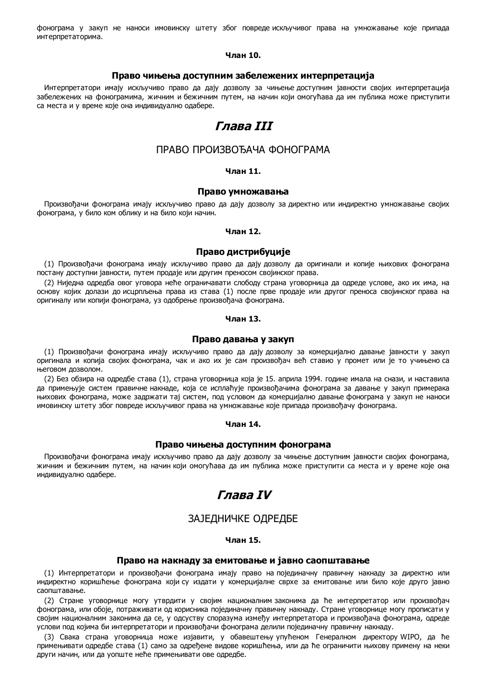фонограма у закуп не наноси имовинску штету због повреде искључивог права на умножавање које припада интерпретаторима.

### **Члан 10.**

#### **Право чињења доступним забележених интерпретација**

Интерпретатори имају искључиво право да дају дозволу за чињење доступним јавности својих интерпретација забележених на фонограмима, жичним и бежичним путем, на начин који омогућава да им публика може приступити са места и у време које она индивидуално одабере.

# **Глава III**

# ПРАВО ПРОИЗВОЂАЧА ФОНОГРАМА

#### **Члан 11.**

### **Право умножавања**

Произвођачи фонограма имају искључиво право да дају дозволу за директно или индиректно умножавање својих фонограма, у било ком облику и на било који начин.

#### **Члан 12.**

#### **Право дистрибуције**

(1) Произвођачи фонограма имају искључиво право да дају дозволу да оригинали и копије њихових фонограма постану доступни јавности, путем продаје или другим преносом својинског права.

(2) Ниједна одредба овог уговора неће ограничавати слободу страна уговорница да одреде услове, ако их има, на основу којих долази до исцрпљења права из става (1) после прве продаје или другог преноса својинског права на оригиналу или копији фонограма, уз одобрење произвођача фонограма.

#### **Члан 13.**

#### **Право давања у закуп**

(1) Произвођачи фонограма имају искључиво право да дају дозволу за комерцијално давање јавности у закуп оригинала и копија својих фонограма, чак и ако их је сам произвођач већ ставио у промет или је то учињено са његовом дозволом.

(2) Без обзира на одредбе става (1), страна уговорница која је 15. априла 1994. године имала на снази, и наставила да примењује систем правичне накнаде, која се исплаћује произвођачима фонограма за давање у закуп примерака њихових фонограма, може задржати тај систем, под условом да комерцијално давање фонограма у закуп не наноси имовинску штету због повреде искључивог права на умножавање које припада произвођачу фонограма.

#### **Члан 14.**

#### **Право чињења доступним фонограма**

Произвођачи фонограма имају искључиво право да дају дозволу за чињење доступним јавности својих фонограма, жичним и бежичним путем, на начин који омогућава да им публика може приступити са места и у време које она индивидуално одабере.

# **Глава IV**

# ЗАЈЕДНИЧКЕ ОДРЕДБЕ

#### **Члан 15.**

#### **Право на накнаду за емитовање и јавно саопштавање**

(1) Интерпретатори и произвођачи фонограма имају право на појединачну правичну накнаду за директно или индиректно коришћење фонограма који су издати у комерцијалне сврхе за емитовање или било које друго јавно саопштавање.

(2) Стране уговорнице могу утврдити у својим националним законима да ће интерпретатор или произвођач фонограма, или обоје, потраживати од корисника појединачну правичну накнаду. Стране уговорнице могу прописати у својим националним законима да се, у одсуству споразума између интерпретатора и произвођача фонограма, одреде услови под којима би интерпретатори и произвођачи фонограма делили појединачну правичну накнаду.

(3) Свака страна уговорница може изјавити, у обавештењу упућеном Генералном директору WIPO, да ће примењивати одредбе става (1) само за одређене видове коришћења, или да ће ограничити њихову примену на неки други начин, или да уопште неће примењивати ове одредбе.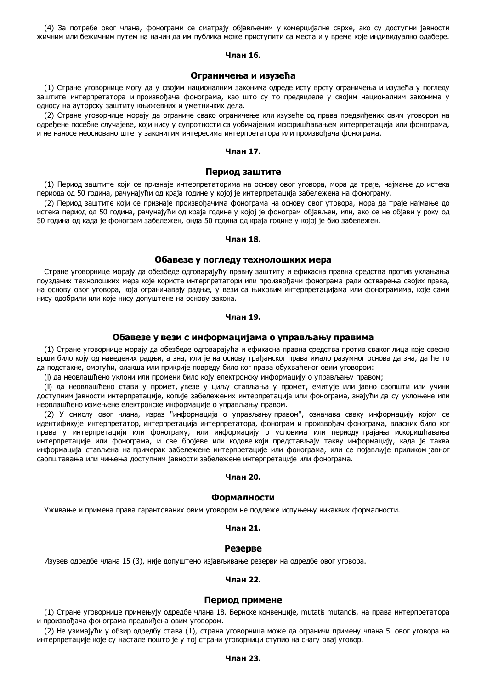(4) За потребе овог члана, фонограми се сматрају објављеним у комерцијалне сврхе, ако су доступни јавности жичним или бежичним путем на начин да им публика може приступити са места и у време које индивидуално одабере.

## **Члан 16.**

#### **Ограничења и изузећа**

(1) Стране уговорнице могу да у својим националним законима одреде исту врсту ограничења и изузећа у погледу заштите интерпретатора и произвођача фонограма, као што су то предвиделе у својим националним законима у односу на ауторску заштиту књижевних и уметничких дела.

(2) Стране уговорнице морају да ограниче свако ограничење или изузеће од права предвиђених овим уговором на одређене посебне случајеве, који нису у супротности са уобичајеним искоришћавањем интерпретација или фонограма, и не наносе неосновано штету законитим интересима интерпретатора или произвођача фонограма.

### **Члан 17.**

#### **Период заштите**

(1) Период заштите који се признаје интерпретаторима на основу овог уговора, мора да траје, најмање до истека периода од 50 година, рачунајући од краја године у којој је интерпретација забележена на фонограму.

(2) Период заштите који се признаје произвођачима фонограма на основу овог утовора, мора да траје најмање до истека период од 50 година, рачунајући од краја године у којој је фонограм објављен, или, ако се не објави у року од 50 година од када је фонограм забележен, онда 50 година од краја године у којој је био забележен.

#### **Члан 18.**

#### **Обавезе у погледу технолошких мера**

Стране уговорнице морају да обезбеде одговарајућу правну заштиту и ефикасна правна средства против уклањања поузданих технолошких мера које користе интерпретатори или произвођачи фонограма ради остварења својих права, на основу овог уговора, која ограничавају радње, у вези са њиховим интерпретацијама или фонограмима, које сами нису одобрили или које нису допуштене на основу закона.

#### **Члан 19.**

#### **Обавезе у вези с информацијама о управљању правима**

(1) Стране уговорнице морају да обезбеде одговарајућа и ефикасна правна средства против сваког лица које свесно врши било коју од наведених радњи, а зна, или је на основу грађанског права имало разумног основа да зна, да ће то да подстакне, омогући, олакша или прикрије повреду било ког права обухваћеног овим уговором:

(i) да неовлашћено уклони или промени било коју електронску информацију о управљању правом;

(ii) да неовлашћено стави у промет, увезе у циљу стављања у промет, емитује или јавно саопшти или учини доступним јавности интерпретације, копије забележених интерпретација или фонограма, знајући да су уклоњене или неовлашћено измењене електронске информације о управљању правом.

(2) У смислу овог члана, израз "информација о управљању правом", означава сваку информацију којом се идентификује интерпретатор, интерпретација интерпретатора, фонограм и произвођач фонограма, власник било ког права у интерпретацији или фонограму, или информацију о условима или периоду трајања искоришћавања интерпретације или фонограма, и све бројеве или кодове који представљају такву информацију, када је таква информација стављена на примерак забележене интерпретације или фонограма, или се појављује приликом јавног саопштавања или чињења доступним јавности забележене интерпретације или фонограма.

#### **Члан 20.**

#### **Формалности**

Уживање и примена права гарантованих овим уговором не подлеже испуњењу никаквих формалности.

#### **Члан 21.**

#### **Резерве**

Изузев одредбе члана 15 (3), није допуштено изјављивање резерви на одредбе овог уговора.

#### **Члан 22.**

#### **Период примене**

(1) Стране уговорнице примењују одредбе члана 18. Бернске конвенције, mutatis mutandis, на права интерпретатора и произвођача фонограма предвиђена овим уговором.

(2) Не узимајући у обзир одредбу става (1), страна уговорница може да ограничи примену члана 5. овог уговора на интерпретације које су настале пошто је у тој страни уговорници ступио на снагу овај уговор.

### **Члан 23.**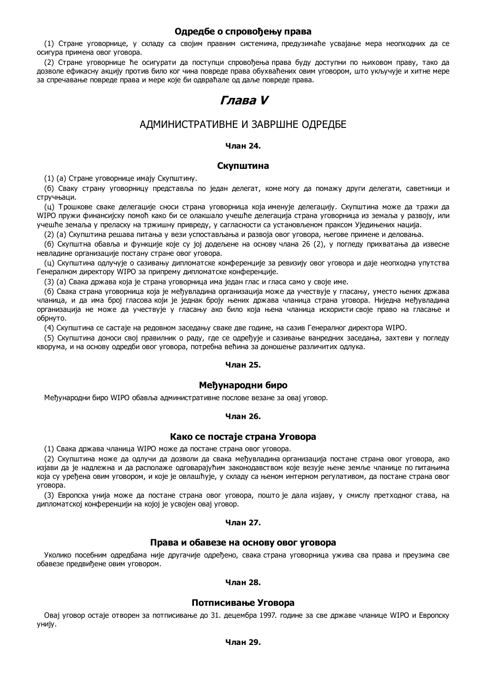## **Одредбе о спровођењу права**

(1) Стране уговорнице, у складу са својим правним системима, предузимаће усвајање мера неопходних да се осигура примена овог уговора.

(2) Стране уговорнице ће осигурати да поступци спровођења права буду доступни по њиховом праву, тако да дозволе ефикасну акцију против било ког чина повреде права обухваћених овим уговором, што укључује и хитне мере за спречавање повреде права и мере које би одвраћале од даље повреде права.

# **Глава V**

# АДМИНИСТРАТИВНЕ И ЗАВРШНЕ ОДРЕДБЕ

## **Члан 24.**

## **Скупштина**

(1) (а) Стране уговорнице имају Скупштину.

(б) Сваку страну уговорницу представља по један делегат, коме могу да помажу други делегати, саветници и стручњаци.

(ц) Трошкове сваке делегације сноси страна уговорница која именује делегацију. Скупштина може да тражи да WIPO пружи финансијску помоћ како би се олакшало учешће делегација страна уговорница из земаља у развоју, или учешће земаља у преласку на тржишну привреду, у сагласности са установљеном праксом Уједињених нација.

(2) (а) Скупштина решава питања у вези успостављања и развоја овог уговора, његове примене и деловања.

(б) Скупштна обавља и функције које су јој додељене на основу члана 26 (2), у погледу прихватања да извесне невладине организације постану стране овог уговора.

(ц) Скупштина одлучује о сазивању дипломатске конференције за ревизију овог уговора и даје неопходна упутства Генералном директору WIPO за припрему дипломатске конференције.

(3) (а) Свака држава која је страна уговорница има један глас и гласа само у своје име.

(б) Свака страна уговорница која је међувладина организација може да учествује у гласању, уместо њених држава чланица, и да има број гласова који је једнак броју њених држава чланица страна уговора. Ниједна међувладина организација не може да учествује у гласању ако било која њена чланица искористи своје право на гласање и обрнуто.

(4) Скупштина се састаје на редовном заседању сваке две године, на сазив Генералног директора WIPO.

(5) Скупштина доноси свој правилник о раду, где се одређује и сазивање ванредних заседања, захтеви у погледу кворума, и на основу одредби овог уговора, потребна већина за доношење различитих одлука.

## **Члан 25.**

#### **Међународни биро**

Међународни биро WIPO обавља административне послове везане за овај уговор.

#### **Члан 26.**

## **Како се постаје страна Уговора**

(1) Свака држава чланица WIPO може да постане страна овог уговора.

(2) Скупштина може да одлучи да дозволи да свака међувладина организација постане страна овог уговора, ако изјави да је надлежна и да располаже одговарајућим законодавством које везује њене земље чланице по питањима која су уређена овим уговором, и које је овлашћује, у складу са њеном интерном регулативом, да постане страна овог уговора.

(3) Европска унија може да постане страна овог уговора, пошто је дала изјаву, у смислу претходног става, на дипломатској конференцији на којој је усвојен овај уговор.

### **Члан 27.**

## **Права и обавезе на основу овог уговора**

Уколико посебним одредбама није другачије одређено, свака страна уговорница ужива сва права и преузима све обавезе предвиђене овим уговором.

#### **Члан 28.**

#### **Потписивање Уговора**

Овај уговор остаје отворен за потписивање до 31. децембра 1997. године за све државе чланице WIPO и Европску унију.